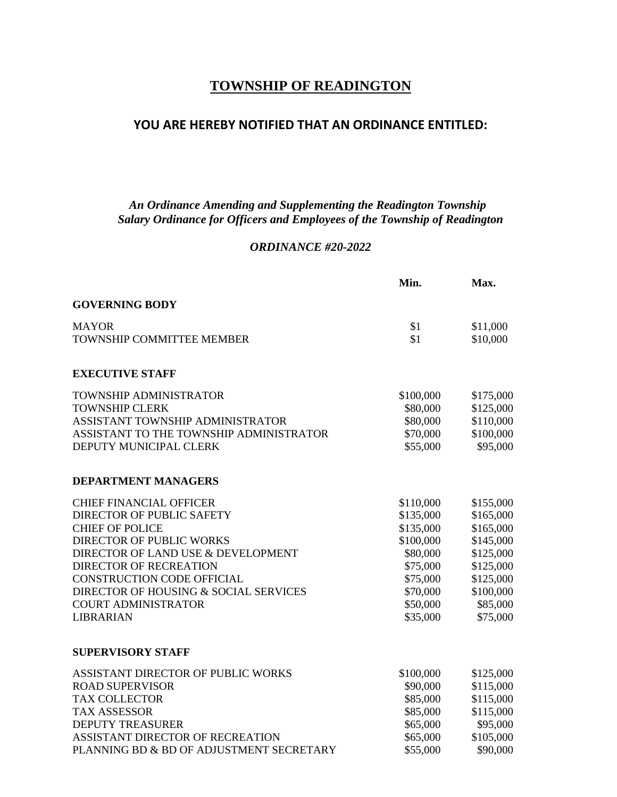# **TOWNSHIP OF READINGTON**

## **YOU ARE HEREBY NOTIFIED THAT AN ORDINANCE ENTITLED:**

### *An Ordinance Amending and Supplementing the Readington Township Salary Ordinance for Officers and Employees of the Township of Readington*

#### *ORDINANCE #20-2022*

|                                          | Min.      | Max.      |
|------------------------------------------|-----------|-----------|
| <b>GOVERNING BODY</b>                    |           |           |
| <b>MAYOR</b>                             | \$1       | \$11,000  |
| TOWNSHIP COMMITTEE MEMBER                | \$1       | \$10,000  |
| <b>EXECUTIVE STAFF</b>                   |           |           |
| TOWNSHIP ADMINISTRATOR                   | \$100,000 | \$175,000 |
| <b>TOWNSHIP CLERK</b>                    | \$80,000  | \$125,000 |
| ASSISTANT TOWNSHIP ADMINISTRATOR         | \$80,000  | \$110,000 |
| ASSISTANT TO THE TOWNSHIP ADMINISTRATOR  | \$70,000  | \$100,000 |
| DEPUTY MUNICIPAL CLERK                   | \$55,000  | \$95,000  |
| <b>DEPARTMENT MANAGERS</b>               |           |           |
| <b>CHIEF FINANCIAL OFFICER</b>           | \$110,000 | \$155,000 |
| DIRECTOR OF PUBLIC SAFETY                | \$135,000 | \$165,000 |
| <b>CHIEF OF POLICE</b>                   | \$135,000 | \$165,000 |
| <b>DIRECTOR OF PUBLIC WORKS</b>          | \$100,000 | \$145,000 |
| DIRECTOR OF LAND USE & DEVELOPMENT       | \$80,000  | \$125,000 |
| <b>DIRECTOR OF RECREATION</b>            | \$75,000  | \$125,000 |
| CONSTRUCTION CODE OFFICIAL               | \$75,000  | \$125,000 |
| DIRECTOR OF HOUSING & SOCIAL SERVICES    | \$70,000  | \$100,000 |
| <b>COURT ADMINISTRATOR</b>               | \$50,000  | \$85,000  |
| <b>LIBRARIAN</b>                         | \$35,000  | \$75,000  |
| <b>SUPERVISORY STAFF</b>                 |           |           |
| ASSISTANT DIRECTOR OF PUBLIC WORKS       | \$100,000 | \$125,000 |
| <b>ROAD SUPERVISOR</b>                   | \$90,000  | \$115,000 |
| <b>TAX COLLECTOR</b>                     | \$85,000  | \$115,000 |
| <b>TAX ASSESSOR</b>                      | \$85,000  | \$115,000 |
| <b>DEPUTY TREASURER</b>                  | \$65,000  | \$95,000  |
| ASSISTANT DIRECTOR OF RECREATION         | \$65,000  | \$105,000 |
| PLANNING BD & BD OF ADJUSTMENT SECRETARY | \$55,000  | \$90,000  |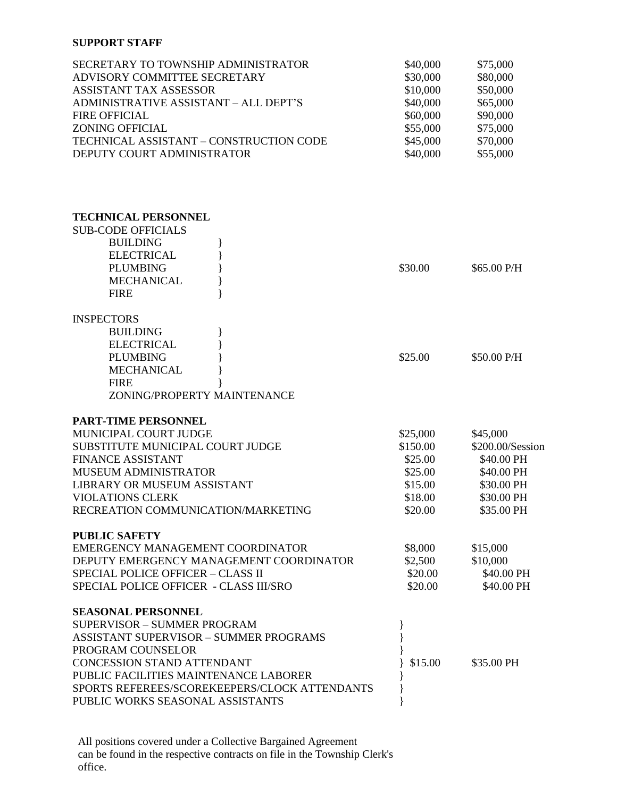#### **SUPPORT STAFF**

| SECRETARY TO TOWNSHIP ADMINISTRATOR<br>ADVISORY COMMITTEE SECRETARY<br><b>ASSISTANT TAX ASSESSOR</b><br>ADMINISTRATIVE ASSISTANT - ALL DEPT'S<br><b>FIRE OFFICIAL</b><br><b>ZONING OFFICIAL</b><br>TECHNICAL ASSISTANT - CONSTRUCTION CODE<br>DEPUTY COURT ADMINISTRATOR | \$40,000<br>\$30,000<br>\$10,000<br>\$40,000<br>\$60,000<br>\$55,000<br>\$45,000<br>\$40,000 | \$75,000<br>\$80,000<br>\$50,000<br>\$65,000<br>\$90,000<br>\$75,000<br>\$70,000<br>\$55,000 |
|--------------------------------------------------------------------------------------------------------------------------------------------------------------------------------------------------------------------------------------------------------------------------|----------------------------------------------------------------------------------------------|----------------------------------------------------------------------------------------------|
| <b>TECHNICAL PERSONNEL</b><br><b>SUB-CODE OFFICIALS</b><br><b>BUILDING</b><br><b>ELECTRICAL</b><br><b>PLUMBING</b>                                                                                                                                                       | \$30.00                                                                                      | \$65.00 P/H                                                                                  |
| <b>MECHANICAL</b><br><b>FIRE</b>                                                                                                                                                                                                                                         |                                                                                              |                                                                                              |
| <b>INSPECTORS</b><br><b>BUILDING</b><br><b>ELECTRICAL</b><br><b>PLUMBING</b><br><b>MECHANICAL</b><br><b>FIRE</b><br>ZONING/PROPERTY MAINTENANCE                                                                                                                          | \$25.00                                                                                      | \$50.00 P/H                                                                                  |
| <b>PART-TIME PERSONNEL</b>                                                                                                                                                                                                                                               |                                                                                              |                                                                                              |
| MUNICIPAL COURT JUDGE                                                                                                                                                                                                                                                    | \$25,000                                                                                     | \$45,000                                                                                     |
| SUBSTITUTE MUNICIPAL COURT JUDGE                                                                                                                                                                                                                                         | \$150.00                                                                                     | \$200.00/Session                                                                             |
| <b>FINANCE ASSISTANT</b>                                                                                                                                                                                                                                                 | \$25.00                                                                                      | \$40.00 PH                                                                                   |
| <b>MUSEUM ADMINISTRATOR</b>                                                                                                                                                                                                                                              | \$25.00                                                                                      | \$40.00 PH                                                                                   |
| LIBRARY OR MUSEUM ASSISTANT                                                                                                                                                                                                                                              | \$15.00                                                                                      | \$30.00 PH                                                                                   |
| <b>VIOLATIONS CLERK</b><br>RECREATION COMMUNICATION/MARKETING                                                                                                                                                                                                            | \$18.00<br>\$20.00                                                                           | \$30.00 PH<br>\$35.00 PH                                                                     |
| <b>PUBLIC SAFETY</b>                                                                                                                                                                                                                                                     |                                                                                              |                                                                                              |
| EMERGENCY MANAGEMENT COORDINATOR                                                                                                                                                                                                                                         | \$8,000                                                                                      | \$15,000                                                                                     |
| DEPUTY EMERGENCY MANAGEMENT COORDINATOR                                                                                                                                                                                                                                  | \$2,500                                                                                      | \$10,000                                                                                     |
| SPECIAL POLICE OFFICER - CLASS II                                                                                                                                                                                                                                        | \$20.00                                                                                      | \$40.00 PH                                                                                   |
| SPECIAL POLICE OFFICER - CLASS III/SRO                                                                                                                                                                                                                                   | \$20.00                                                                                      | \$40.00 PH                                                                                   |
| <b>SEASONAL PERSONNEL</b>                                                                                                                                                                                                                                                |                                                                                              |                                                                                              |
| <b>SUPERVISOR - SUMMER PROGRAM</b>                                                                                                                                                                                                                                       |                                                                                              |                                                                                              |
| <b>ASSISTANT SUPERVISOR - SUMMER PROGRAMS</b>                                                                                                                                                                                                                            |                                                                                              |                                                                                              |
| PROGRAM COUNSELOR                                                                                                                                                                                                                                                        |                                                                                              |                                                                                              |
| <b>CONCESSION STAND ATTENDANT</b>                                                                                                                                                                                                                                        | \$15.00                                                                                      | \$35.00 PH                                                                                   |
| PUBLIC FACILITIES MAINTENANCE LABORER<br>SPORTS REFEREES/SCOREKEEPERS/CLOCK ATTENDANTS<br>PUBLIC WORKS SEASONAL ASSISTANTS                                                                                                                                               |                                                                                              |                                                                                              |

All positions covered under a Collective Bargained Agreement can be found in the respective contracts on file in the Township Clerk's office.